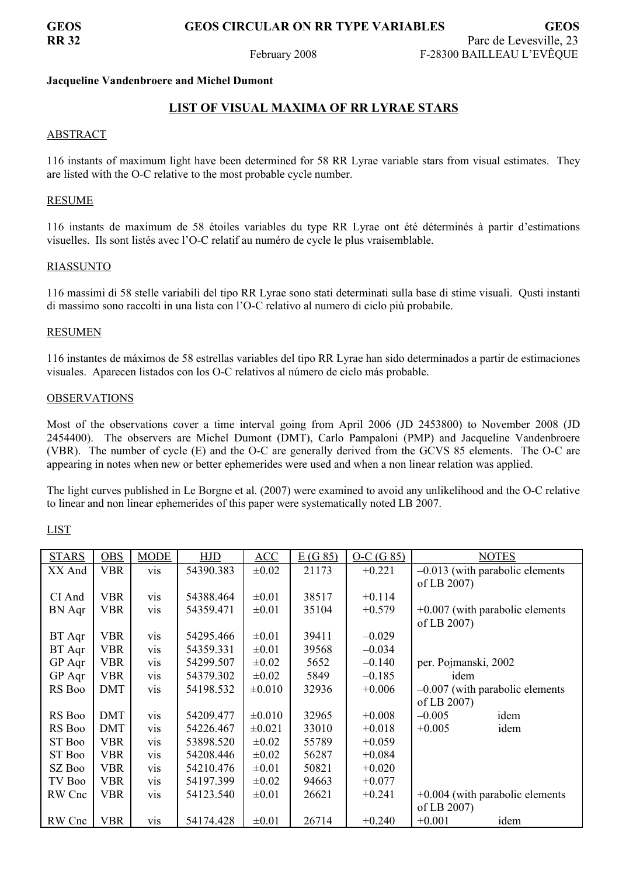**GEOS GEOS CIRCULAR ON RR TYPE VARIABLES GEOS**

## **Jacqueline Vandenbroere and Michel Dumont**

# **LIST OF VISUAL MAXIMA OF RR LYRAE STARS**

## ABSTRACT

116 instants of maximum light have been determined for 58 RR Lyrae variable stars from visual estimates. They are listed with the O-C relative to the most probable cycle number.

## RESUME

116 instants de maximum de 58 étoiles variables du type RR Lyrae ont été déterminés à partir d'estimations visuelles. Ils sont listés avec l'O-C relatif au numéro de cycle le plus vraisemblable.

### RIASSUNTO

116 massimi di 58 stelle variabili del tipo RR Lyrae sono stati determinati sulla base di stime visuali. Qusti instanti di massimo sono raccolti in una lista con l'O-C relativo al numero di ciclo più probabile.

### RESUMEN

116 instantes de máximos de 58 estrellas variables del tipo RR Lyrae han sido determinados a partir de estimaciones visuales. Aparecen listados con los O-C relativos al número de ciclo más probable.

### OBSERVATIONS

Most of the observations cover a time interval going from April 2006 (JD 2453800) to November 2008 (JD 2454400). The observers are Michel Dumont (DMT), Carlo Pampaloni (PMP) and Jacqueline Vandenbroere (VBR). The number of cycle (E) and the O-C are generally derived from the GCVS 85 elements. The O-C are appearing in notes when new or better ephemerides were used and when a non linear relation was applied.

The light curves published in Le Borgne et al. (2007) were examined to avoid any unlikelihood and the O-C relative to linear and non linear ephemerides of this paper were systematically noted LB 2007.

| <b>STARS</b>  | <b>OBS</b> | <b>MODE</b> | HJD       | ACC         | E(G 85) | $O-C(G 85)$ | <b>NOTES</b>                      |
|---------------|------------|-------------|-----------|-------------|---------|-------------|-----------------------------------|
| XX And        | <b>VBR</b> | <b>vis</b>  | 54390.383 | $\pm 0.02$  | 21173   | $+0.221$    | $-0.013$ (with parabolic elements |
|               |            |             |           |             |         |             | of LB 2007)                       |
| CI And        | <b>VBR</b> | vis         | 54388.464 | $\pm 0.01$  | 38517   | $+0.114$    |                                   |
| <b>BN</b> Aqr | <b>VBR</b> | vis         | 54359.471 | $\pm 0.01$  | 35104   | $+0.579$    | $+0.007$ (with parabolic elements |
|               |            |             |           |             |         |             | of LB 2007)                       |
| BT Aqr        | <b>VBR</b> | vis         | 54295.466 | $\pm 0.01$  | 39411   | $-0.029$    |                                   |
| BT Aqr        | <b>VBR</b> | <b>VIS</b>  | 54359.331 | $\pm 0.01$  | 39568   | $-0.034$    |                                   |
| GP Aqr        | <b>VBR</b> | <b>VIS</b>  | 54299.507 | $\pm 0.02$  | 5652    | $-0.140$    | per. Pojmanski, 2002              |
| GP Aqr        | <b>VBR</b> | <b>vis</b>  | 54379.302 | $\pm 0.02$  | 5849    | $-0.185$    | idem                              |
| RS Boo        | <b>DMT</b> | <b>vis</b>  | 54198.532 | ±0.010      | 32936   | $+0.006$    | $-0.007$ (with parabolic elements |
|               |            |             |           |             |         |             | of LB 2007)                       |
| RS Boo        | <b>DMT</b> | vis         | 54209.477 | ±0.010      | 32965   | $+0.008$    | idem<br>$-0.005$                  |
| RS Boo        | <b>DMT</b> | vis         | 54226.467 | $\pm 0.021$ | 33010   | $+0.018$    | idem<br>$+0.005$                  |
| ST Boo        | <b>VBR</b> | <b>vis</b>  | 53898.520 | $\pm 0.02$  | 55789   | $+0.059$    |                                   |
| ST Boo        | <b>VBR</b> | <b>VIS</b>  | 54208.446 | $\pm 0.02$  | 56287   | $+0.084$    |                                   |
| SZ Boo        | <b>VBR</b> | <b>VIS</b>  | 54210.476 | $\pm 0.01$  | 50821   | $+0.020$    |                                   |
| TV Boo        | <b>VBR</b> | <b>VIS</b>  | 54197.399 | $\pm 0.02$  | 94663   | $+0.077$    |                                   |
| RW Cnc        | <b>VBR</b> | <b>VIS</b>  | 54123.540 | $\pm 0.01$  | 26621   | $+0.241$    | $+0.004$ (with parabolic elements |
|               |            |             |           |             |         |             | of LB 2007)                       |
| RW Cnc        | <b>VBR</b> | vis         | 54174.428 | $\pm 0.01$  | 26714   | $+0.240$    | $+0.001$<br>idem                  |

## LIST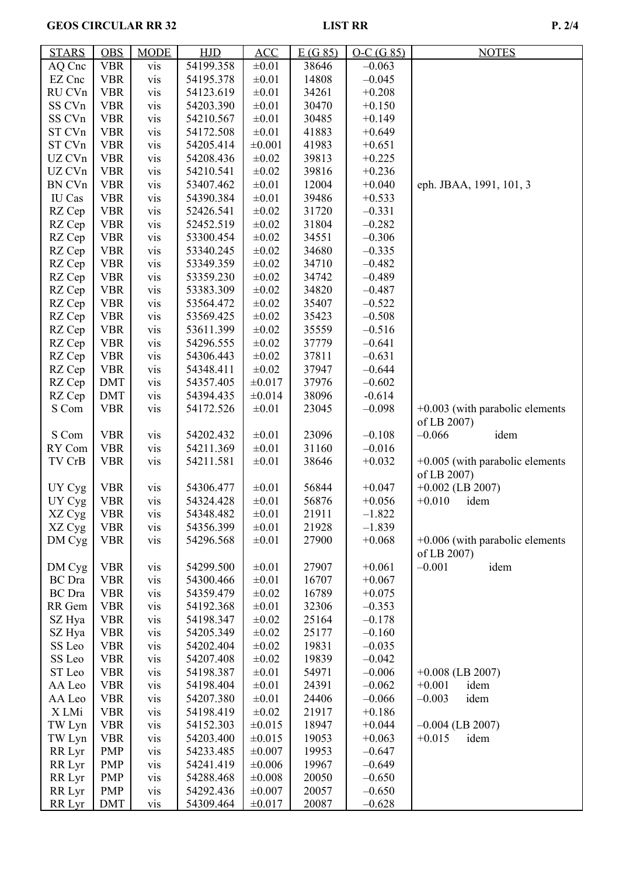# GEOS CIRCULAR RR 32 LIST RR P. 2/4

| <b>STARS</b>  | <b>OBS</b> | <b>MODE</b> | <b>HJD</b> | ACC         | E(G 85) | $O-C(G 85)$ | <b>NOTES</b>                      |
|---------------|------------|-------------|------------|-------------|---------|-------------|-----------------------------------|
| AQ Cnc        | <b>VBR</b> | vis         | 54199.358  | $\pm 0.01$  | 38646   | $-0.063$    |                                   |
| EZ Cnc        | <b>VBR</b> | vis         | 54195.378  | $\pm 0.01$  | 14808   | $-0.045$    |                                   |
| RU CVn        | <b>VBR</b> | vis         | 54123.619  | $\pm 0.01$  | 34261   | $+0.208$    |                                   |
| SS CVn        | <b>VBR</b> | vis         | 54203.390  | $\pm 0.01$  | 30470   | $+0.150$    |                                   |
| SS CVn        | <b>VBR</b> | vis         | 54210.567  | $\pm 0.01$  | 30485   | $+0.149$    |                                   |
| ST CVn        | <b>VBR</b> | vis         | 54172.508  | $\pm 0.01$  | 41883   | $+0.649$    |                                   |
| ST CVn        | <b>VBR</b> | vis         | 54205.414  | ±0.001      | 41983   | $+0.651$    |                                   |
| UZ CVn        | <b>VBR</b> | vis         | 54208.436  | $\pm 0.02$  | 39813   | $+0.225$    |                                   |
| UZ CVn        | <b>VBR</b> | vis         | 54210.541  | $\pm 0.02$  | 39816   | $+0.236$    |                                   |
| BN CVn        | <b>VBR</b> | vis         | 53407.462  | $\pm 0.01$  | 12004   | $+0.040$    | eph. JBAA, 1991, 101, 3           |
| IU Cas        | <b>VBR</b> | vis         | 54390.384  | $\pm 0.01$  | 39486   | $+0.533$    |                                   |
| RZ Cep        | <b>VBR</b> | vis         | 52426.541  | $\pm 0.02$  | 31720   | $-0.331$    |                                   |
|               | <b>VBR</b> | vis         | 52452.519  | $\pm 0.02$  | 31804   | $-0.282$    |                                   |
| RZ Cep        |            |             | 53300.454  | $\pm 0.02$  | 34551   | $-0.306$    |                                   |
| RZ Cep        | <b>VBR</b> | vis         |            | $\pm 0.02$  |         |             |                                   |
| RZ Cep        | <b>VBR</b> | vis         | 53340.245  |             | 34680   | $-0.335$    |                                   |
| RZ Cep        | <b>VBR</b> | vis         | 53349.359  | $\pm 0.02$  | 34710   | $-0.482$    |                                   |
| RZ Cep        | <b>VBR</b> | vis         | 53359.230  | $\pm 0.02$  | 34742   | $-0.489$    |                                   |
| RZ Cep        | <b>VBR</b> | vis         | 53383.309  | $\pm 0.02$  | 34820   | $-0.487$    |                                   |
| RZ Cep        | <b>VBR</b> | vis         | 53564.472  | $\pm 0.02$  | 35407   | $-0.522$    |                                   |
| RZ Cep        | <b>VBR</b> | vis         | 53569.425  | $\pm 0.02$  | 35423   | $-0.508$    |                                   |
| RZ Cep        | <b>VBR</b> | vis         | 53611.399  | $\pm 0.02$  | 35559   | $-0.516$    |                                   |
| RZ Cep        | <b>VBR</b> | vis         | 54296.555  | $\pm 0.02$  | 37779   | $-0.641$    |                                   |
| RZ Cep        | <b>VBR</b> | vis         | 54306.443  | $\pm 0.02$  | 37811   | $-0.631$    |                                   |
| RZ Cep        | <b>VBR</b> | vis         | 54348.411  | $\pm 0.02$  | 37947   | $-0.644$    |                                   |
| RZ Cep        | <b>DMT</b> | vis         | 54357.405  | ±0.017      | 37976   | $-0.602$    |                                   |
| RZ Cep        | <b>DMT</b> | vis         | 54394.435  | ±0.014      | 38096   | $-0.614$    |                                   |
| S Com         | <b>VBR</b> | vis         | 54172.526  | $\pm 0.01$  | 23045   | $-0.098$    | $+0.003$ (with parabolic elements |
|               |            |             |            |             |         |             | of LB 2007)                       |
| S Com         | <b>VBR</b> | vis         | 54202.432  | $\pm 0.01$  | 23096   | $-0.108$    | $-0.066$<br>idem                  |
| RY Com        | <b>VBR</b> | vis         | 54211.369  | $\pm 0.01$  | 31160   | $-0.016$    |                                   |
| TV CrB        | <b>VBR</b> | vis         | 54211.581  | $\pm 0.01$  | 38646   | $+0.032$    | $+0.005$ (with parabolic elements |
|               |            |             |            |             |         |             | of LB 2007)                       |
| UY Cyg        | <b>VBR</b> | vis         | 54306.477  | $\pm 0.01$  | 56844   | $+0.047$    | $+0.002$ (LB 2007)                |
| UY Cyg        | <b>VBR</b> | vis         | 54324.428  | $\pm 0.01$  | 56876   | $+0.056$    | $+0.010$<br>idem                  |
| XZ Cyg        | <b>VBR</b> | vis         | 54348.482  | $\pm 0.01$  | 21911   | $-1.822$    |                                   |
| XZ Cyg        | <b>VBR</b> | vis         | 54356.399  | $\pm 0.01$  | 21928   | $-1.839$    |                                   |
| DM Cyg        | <b>VBR</b> | vis         | 54296.568  | $\pm 0.01$  | 27900   | $+0.068$    | $+0.006$ (with parabolic elements |
|               |            |             |            |             |         |             | of LB 2007)                       |
| DM Cyg        | <b>VBR</b> | vis         | 54299.500  | $\pm 0.01$  | 27907   | $+0.061$    | $-0.001$<br>idem                  |
| <b>BC</b> Dra | <b>VBR</b> | vis         | 54300.466  | $\pm 0.01$  | 16707   | $+0.067$    |                                   |
| <b>BC</b> Dra | <b>VBR</b> | vis         | 54359.479  | $\pm 0.02$  | 16789   | $+0.075$    |                                   |
| RR Gem        | <b>VBR</b> | vis         | 54192.368  | $\pm 0.01$  | 32306   | $-0.353$    |                                   |
| SZ Hya        | <b>VBR</b> | vis         | 54198.347  | $\pm 0.02$  | 25164   | $-0.178$    |                                   |
| SZ Hya        | <b>VBR</b> | vis         | 54205.349  | $\pm 0.02$  | 25177   | $-0.160$    |                                   |
| SS Leo        | <b>VBR</b> | vis         | 54202.404  | $\pm 0.02$  | 19831   | $-0.035$    |                                   |
| SS Leo        | <b>VBR</b> | vis         | 54207.408  | $\pm 0.02$  | 19839   | $-0.042$    |                                   |
| ST Leo        | <b>VBR</b> | vis         | 54198.387  | $\pm 0.01$  | 54971   | $-0.006$    | $+0.008$ (LB 2007)                |
| AA Leo        | <b>VBR</b> | vis         | 54198.404  | $\pm 0.01$  | 24391   | $-0.062$    | idem<br>$+0.001$                  |
| AA Leo        | <b>VBR</b> | vis         | 54207.380  | $\pm 0.01$  | 24406   | $-0.066$    | $-0.003$<br>idem                  |
| X LMi         | <b>VBR</b> | vis         | 54198.419  | $\pm 0.02$  | 21917   | $+0.186$    |                                   |
| TW Lyn        | <b>VBR</b> | vis         | 54152.303  | ±0.015      | 18947   | $+0.044$    | $-0.004$ (LB 2007)                |
| TW Lyn        | <b>VBR</b> | vis         | 54203.400  | ±0.015      | 19053   | $+0.063$    | $+0.015$<br>idem                  |
| RR Lyr        | <b>PMP</b> | vis         | 54233.485  | ±0.007      | 19953   | $-0.647$    |                                   |
| RR Lyr        | <b>PMP</b> | vis         | 54241.419  | ±0.006      | 19967   | $-0.649$    |                                   |
| RR Lyr        | <b>PMP</b> | vis         | 54288.468  | $\pm 0.008$ | 20050   | $-0.650$    |                                   |
| RR Lyr        | <b>PMP</b> | vis         | 54292.436  | $\pm 0.007$ | 20057   | $-0.650$    |                                   |
| RR Lyr        | <b>DMT</b> | vis         | 54309.464  | ±0.017      | 20087   | $-0.628$    |                                   |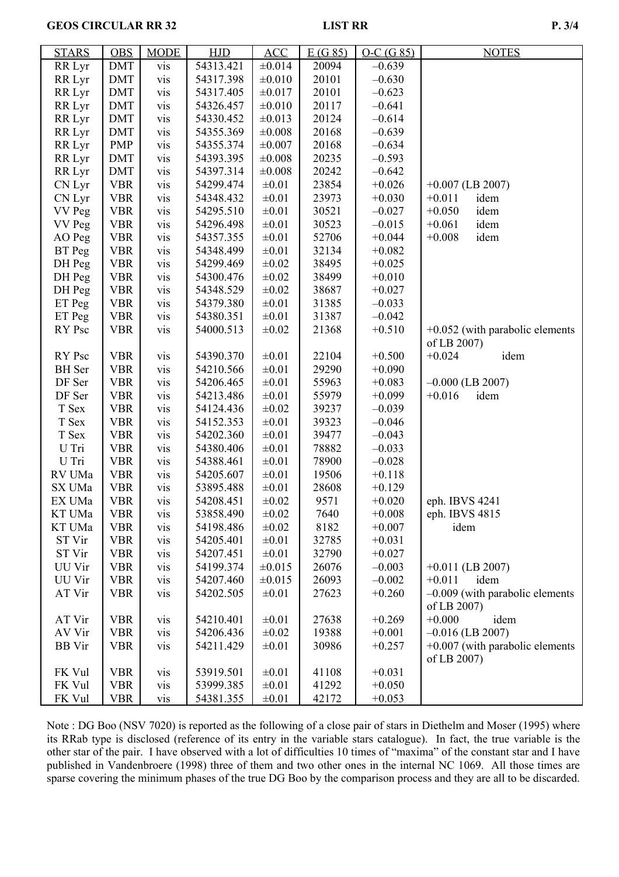**GEOS CIRCULAR RR 32** LIST RR P. 3/4

| <b>STARS</b>  | <b>OBS</b> | <b>MODE</b>      | <b>HJD</b> | ACC         | E(G85) | $O-C(G 85)$ | <b>NOTES</b>                      |
|---------------|------------|------------------|------------|-------------|--------|-------------|-----------------------------------|
| RR Lyr        | <b>DMT</b> | vis              | 54313.421  | ±0.014      | 20094  | $-0.639$    |                                   |
| RR Lyr        | DMT        | vis              | 54317.398  | ±0.010      | 20101  | $-0.630$    |                                   |
| RR Lyr        | <b>DMT</b> | vis              | 54317.405  | ±0.017      | 20101  | $-0.623$    |                                   |
| RR Lyr        | <b>DMT</b> | vis              | 54326.457  | ±0.010      | 20117  | $-0.641$    |                                   |
| RR Lyr        | <b>DMT</b> | vis              | 54330.452  | ±0.013      | 20124  | $-0.614$    |                                   |
| RR Lyr        | <b>DMT</b> | vis              | 54355.369  | ±0.008      | 20168  | $-0.639$    |                                   |
| RR Lyr        | <b>PMP</b> | vis              | 54355.374  | ±0.007      | 20168  | $-0.634$    |                                   |
| RR Lyr        | <b>DMT</b> | vis              | 54393.395  | $\pm 0.008$ | 20235  | $-0.593$    |                                   |
| RR Lyr        | <b>DMT</b> | vis              | 54397.314  | ±0.008      | 20242  | $-0.642$    |                                   |
| CN Lyr        | <b>VBR</b> | vis              | 54299.474  | $\pm 0.01$  | 23854  | $+0.026$    | $+0.007$ (LB 2007)                |
| CN Lyr        | <b>VBR</b> | vis              | 54348.432  | $\pm 0.01$  | 23973  | $+0.030$    | $+0.011$<br>idem                  |
| VV Peg        | <b>VBR</b> | vis              | 54295.510  | $\pm 0.01$  | 30521  | $-0.027$    | $+0.050$<br>idem                  |
| <b>VV Peg</b> | <b>VBR</b> | vis              | 54296.498  | $\pm 0.01$  | 30523  | $-0.015$    | idem<br>$+0.061$                  |
| AO Peg        | <b>VBR</b> | vis              | 54357.355  | $\pm 0.01$  | 52706  | $+0.044$    | idem<br>$+0.008$                  |
| BT Peg        | <b>VBR</b> | vis              | 54348.499  | $\pm 0.01$  | 32134  | $+0.082$    |                                   |
| DH Peg        | <b>VBR</b> | vis              | 54299.469  | $\pm 0.02$  | 38495  | $+0.025$    |                                   |
| DH Peg        | <b>VBR</b> | vis              | 54300.476  | $\pm 0.02$  | 38499  | $+0.010$    |                                   |
| DH Peg        | <b>VBR</b> | vis              | 54348.529  | $\pm 0.02$  | 38687  | $+0.027$    |                                   |
| ET Peg        | <b>VBR</b> | vis              | 54379.380  | $\pm 0.01$  | 31385  | $-0.033$    |                                   |
| ET Peg        | <b>VBR</b> | vis              | 54380.351  | $\pm 0.01$  | 31387  | $-0.042$    |                                   |
| RY Psc        | <b>VBR</b> | vis              | 54000.513  | $\pm 0.02$  | 21368  | $+0.510$    | $+0.052$ (with parabolic elements |
|               |            |                  |            |             |        |             | of LB 2007)                       |
| RY Psc        | <b>VBR</b> | vis              | 54390.370  | $\pm 0.01$  | 22104  | $+0.500$    | $+0.024$<br>idem                  |
| <b>BH</b> Ser | <b>VBR</b> | vis              | 54210.566  | $\pm 0.01$  | 29290  | $+0.090$    |                                   |
| DF Ser        | <b>VBR</b> | vis              | 54206.465  | $\pm 0.01$  | 55963  | $+0.083$    | $-0.000$ (LB 2007)                |
| DF Ser        | <b>VBR</b> | vis              | 54213.486  | $\pm 0.01$  | 55979  | $+0.099$    | $+0.016$<br>idem                  |
| T Sex         | <b>VBR</b> | vis              | 54124.436  | $\pm 0.02$  | 39237  | $-0.039$    |                                   |
| T Sex         | <b>VBR</b> | vis              | 54152.353  | $\pm 0.01$  | 39323  | $-0.046$    |                                   |
| T Sex         | <b>VBR</b> | vis              | 54202.360  | $\pm 0.01$  | 39477  | $-0.043$    |                                   |
| U Tri         | <b>VBR</b> | vis              | 54380.406  | $\pm 0.01$  | 78882  | $-0.033$    |                                   |
| U Tri         | <b>VBR</b> | vis              | 54388.461  | $\pm 0.01$  | 78900  | $-0.028$    |                                   |
| RV UMa        | <b>VBR</b> | vis              | 54205.607  | $\pm 0.01$  | 19506  | $+0.118$    |                                   |
| SX UMa        | <b>VBR</b> | vis              | 53895.488  | $\pm 0.01$  | 28608  | $+0.129$    |                                   |
| EX UMa        | <b>VBR</b> | vis              | 54208.451  | $\pm 0.02$  | 9571   | $+0.020$    | eph. IBVS 4241                    |
| KT UMa        | <b>VBR</b> | V <sub>1</sub> S | 53858.490  | $\pm 0.02$  | 7640   | $+0.008$    | eph. IBVS 4815                    |
| KT UMa        | <b>VBR</b> | vis              | 54198.486  | $\pm 0.02$  | 8182   | $+0.007$    | idem                              |
| ST Vir        | <b>VBR</b> | vis              | 54205.401  | $\pm 0.01$  | 32785  | $+0.031$    |                                   |
| ST Vir        | <b>VBR</b> | vis              | 54207.451  | $\pm 0.01$  | 32790  | $+0.027$    |                                   |
| UU Vir        | <b>VBR</b> | vis              | 54199.374  | ±0.015      | 26076  | $-0.003$    | $+0.011$ (LB 2007)                |
| UU Vir        | <b>VBR</b> | vis              | 54207.460  | ±0.015      | 26093  | $-0.002$    | $+0.011$<br>idem                  |
| AT Vir        | <b>VBR</b> | vis              | 54202.505  | $\pm 0.01$  | 27623  | $+0.260$    | $-0.009$ (with parabolic elements |
|               |            |                  |            |             |        |             | of LB 2007)                       |
| AT Vir        | <b>VBR</b> | vis              | 54210.401  | $\pm 0.01$  | 27638  | $+0.269$    | $+0.000$<br>idem                  |
| AV Vir        | <b>VBR</b> | vis              | 54206.436  | $\pm 0.02$  | 19388  | $+0.001$    | $-0.016$ (LB 2007)                |
| <b>BB</b> Vir | <b>VBR</b> | vis              | 54211.429  | $\pm 0.01$  | 30986  | $+0.257$    | $+0.007$ (with parabolic elements |
|               |            |                  |            |             |        |             | of LB 2007)                       |
| FK Vul        | <b>VBR</b> | vis              | 53919.501  | $\pm 0.01$  | 41108  | $+0.031$    |                                   |
| FK Vul        | <b>VBR</b> | vis              | 53999.385  | $\pm 0.01$  | 41292  | $+0.050$    |                                   |
| FK Vul        | <b>VBR</b> | vis              | 54381.355  | $\pm 0.01$  | 42172  | $+0.053$    |                                   |

Note : DG Boo (NSV 7020) is reported as the following of a close pair of stars in Diethelm and Moser (1995) where its RRab type is disclosed (reference of its entry in the variable stars catalogue). In fact, the true variable is the other star of the pair. I have observed with a lot of difficulties 10 times of "maxima" of the constant star and I have published in Vandenbroere (1998) three of them and two other ones in the internal NC 1069. All those times are sparse covering the minimum phases of the true DG Boo by the comparison process and they are all to be discarded.